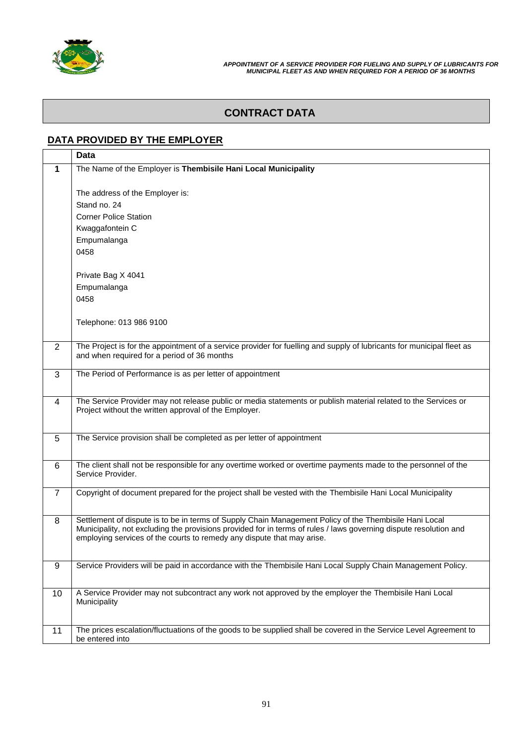

# **CONTRACT DATA**

#### **DATA PROVIDED BY THE EMPLOYER**

|                | <b>Data</b>                                                                                                                        |
|----------------|------------------------------------------------------------------------------------------------------------------------------------|
| 1              | The Name of the Employer is Thembisile Hani Local Municipality                                                                     |
|                |                                                                                                                                    |
|                | The address of the Employer is:                                                                                                    |
|                | Stand no. 24                                                                                                                       |
|                | <b>Corner Police Station</b>                                                                                                       |
|                | Kwaggafontein C                                                                                                                    |
|                | Empumalanga                                                                                                                        |
|                | 0458                                                                                                                               |
|                |                                                                                                                                    |
|                | Private Bag X 4041                                                                                                                 |
|                | Empumalanga                                                                                                                        |
|                | 0458                                                                                                                               |
|                |                                                                                                                                    |
|                | Telephone: 013 986 9100                                                                                                            |
|                |                                                                                                                                    |
| $\overline{2}$ | The Project is for the appointment of a service provider for fuelling and supply of lubricants for municipal fleet as              |
|                | and when required for a period of 36 months                                                                                        |
| 3              | The Period of Performance is as per letter of appointment                                                                          |
|                |                                                                                                                                    |
| 4              | The Service Provider may not release public or media statements or publish material related to the Services or                     |
|                | Project without the written approval of the Employer.                                                                              |
|                |                                                                                                                                    |
| 5              | The Service provision shall be completed as per letter of appointment                                                              |
|                |                                                                                                                                    |
|                |                                                                                                                                    |
| 6              | The client shall not be responsible for any overtime worked or overtime payments made to the personnel of the<br>Service Provider. |
|                |                                                                                                                                    |
| $\overline{7}$ | Copyright of document prepared for the project shall be vested with the Thembisile Hani Local Municipality                         |
|                |                                                                                                                                    |
| 8              | Settlement of dispute is to be in terms of Supply Chain Management Policy of the Thembisile Hani Local                             |
|                | Municipality, not excluding the provisions provided for in terms of rules / laws governing dispute resolution and                  |
|                | employing services of the courts to remedy any dispute that may arise.                                                             |
|                |                                                                                                                                    |
| 9              | Service Providers will be paid in accordance with the Thembisile Hani Local Supply Chain Management Policy.                        |
|                |                                                                                                                                    |
| 10             | A Service Provider may not subcontract any work not approved by the employer the Thembisile Hani Local                             |
|                | Municipality                                                                                                                       |
|                |                                                                                                                                    |
| 11             | The prices escalation/fluctuations of the goods to be supplied shall be covered in the Service Level Agreement to                  |
|                | be entered into                                                                                                                    |
|                |                                                                                                                                    |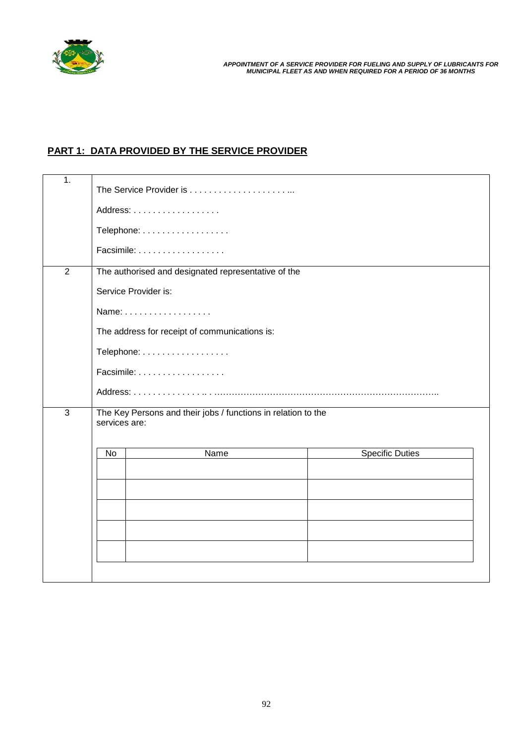

## **PART 1: DATA PROVIDED BY THE SERVICE PROVIDER**

| 1.             |                                                                                |                        |  |  |  |  |
|----------------|--------------------------------------------------------------------------------|------------------------|--|--|--|--|
|                | Address:                                                                       |                        |  |  |  |  |
|                | Telephone:                                                                     |                        |  |  |  |  |
|                | Facsimile:                                                                     |                        |  |  |  |  |
| $\overline{2}$ | The authorised and designated representative of the                            |                        |  |  |  |  |
|                | Service Provider is:                                                           |                        |  |  |  |  |
|                | Name:                                                                          |                        |  |  |  |  |
|                | The address for receipt of communications is:                                  |                        |  |  |  |  |
|                | Telephone:                                                                     |                        |  |  |  |  |
|                | Facsimile:                                                                     |                        |  |  |  |  |
|                |                                                                                |                        |  |  |  |  |
| 3              | The Key Persons and their jobs / functions in relation to the<br>services are: |                        |  |  |  |  |
|                | Name<br>No                                                                     | <b>Specific Duties</b> |  |  |  |  |
|                |                                                                                |                        |  |  |  |  |
|                |                                                                                |                        |  |  |  |  |
|                |                                                                                |                        |  |  |  |  |
|                |                                                                                |                        |  |  |  |  |
|                |                                                                                |                        |  |  |  |  |
|                |                                                                                |                        |  |  |  |  |
|                |                                                                                |                        |  |  |  |  |
|                |                                                                                |                        |  |  |  |  |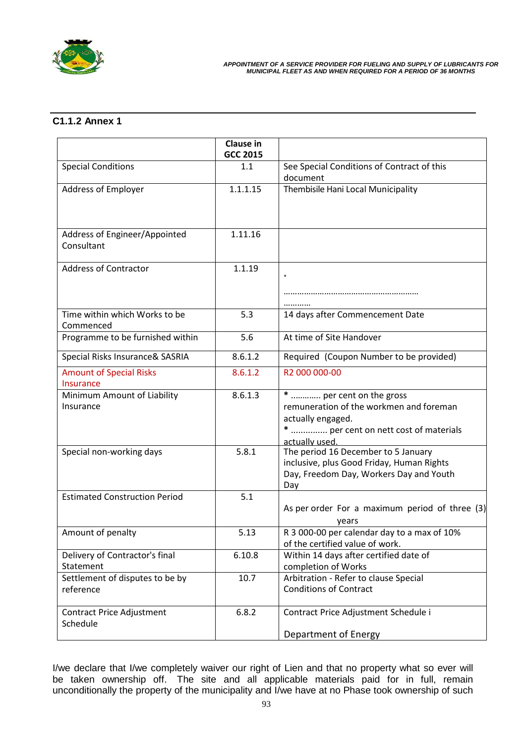

## **C1.1.2 Annex 1**

|                                              | Clause in<br><b>GCC 2015</b> |                                                                                                                                                     |
|----------------------------------------------|------------------------------|-----------------------------------------------------------------------------------------------------------------------------------------------------|
| <b>Special Conditions</b>                    | 1.1                          | See Special Conditions of Contract of this<br>document                                                                                              |
| Address of Employer                          | 1.1.1.15                     | Thembisile Hani Local Municipality                                                                                                                  |
| Address of Engineer/Appointed<br>Consultant  | 1.11.16                      |                                                                                                                                                     |
| <b>Address of Contractor</b>                 | 1.1.19                       |                                                                                                                                                     |
|                                              |                              |                                                                                                                                                     |
| Time within which Works to be<br>Commenced   | 5.3                          | 14 days after Commencement Date                                                                                                                     |
| Programme to be furnished within             | 5.6                          | At time of Site Handover                                                                                                                            |
| Special Risks Insurance& SASRIA              | 8.6.1.2                      | Required (Coupon Number to be provided)                                                                                                             |
| <b>Amount of Special Risks</b><br>Insurance  | 8.6.1.2                      | R2 000 000-00                                                                                                                                       |
| Minimum Amount of Liability<br>Insurance     | 8.6.1.3                      | *  per cent on the gross<br>remuneration of the workmen and foreman<br>actually engaged.<br>*  per cent on nett cost of materials<br>actually used. |
| Special non-working days                     | 5.8.1                        | The period 16 December to 5 January<br>inclusive, plus Good Friday, Human Rights<br>Day, Freedom Day, Workers Day and Youth<br>Day                  |
| <b>Estimated Construction Period</b>         | 5.1                          | As per order For a maximum period of three (3)<br>years                                                                                             |
| Amount of penalty                            | 5.13                         | R 3 000-00 per calendar day to a max of 10%<br>of the certified value of work.                                                                      |
| Delivery of Contractor's final<br>Statement  | 6.10.8                       | Within 14 days after certified date of<br>completion of Works                                                                                       |
| Settlement of disputes to be by<br>reference | 10.7                         | Arbitration - Refer to clause Special<br><b>Conditions of Contract</b>                                                                              |
| Contract Price Adjustment<br>Schedule        | 6.8.2                        | Contract Price Adjustment Schedule i<br>Department of Energy                                                                                        |

I/we declare that I/we completely waiver our right of Lien and that no property what so ever will be taken ownership off. The site and all applicable materials paid for in full, remain unconditionally the property of the municipality and I/we have at no Phase took ownership of such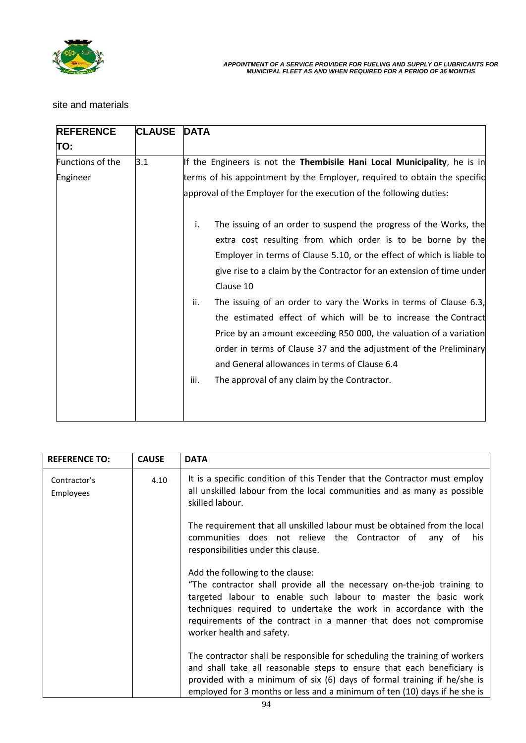

## site and materials

| <b>REFERENCE</b> | <b>CLAUSE</b> | <b>DATA</b>                                                                                                                                                                                                                                                                                                                                                                                                                                                                                                                                                                                                                                     |
|------------------|---------------|-------------------------------------------------------------------------------------------------------------------------------------------------------------------------------------------------------------------------------------------------------------------------------------------------------------------------------------------------------------------------------------------------------------------------------------------------------------------------------------------------------------------------------------------------------------------------------------------------------------------------------------------------|
| TO:              |               |                                                                                                                                                                                                                                                                                                                                                                                                                                                                                                                                                                                                                                                 |
| Functions of the | 3.1           | If the Engineers is not the Thembisile Hani Local Municipality, he is in                                                                                                                                                                                                                                                                                                                                                                                                                                                                                                                                                                        |
| Engineer         |               | terms of his appointment by the Employer, required to obtain the specific                                                                                                                                                                                                                                                                                                                                                                                                                                                                                                                                                                       |
|                  |               | approval of the Employer for the execution of the following duties:                                                                                                                                                                                                                                                                                                                                                                                                                                                                                                                                                                             |
|                  |               | i.<br>The issuing of an order to suspend the progress of the Works, the<br>extra cost resulting from which order is to be borne by the<br>Employer in terms of Clause 5.10, or the effect of which is liable to<br>give rise to a claim by the Contractor for an extension of time under<br>Clause 10<br>ii.<br>The issuing of an order to vary the Works in terms of Clause 6.3,<br>the estimated effect of which will be to increase the Contract<br>Price by an amount exceeding R50 000, the valuation of a variation<br>order in terms of Clause 37 and the adjustment of the Preliminary<br>and General allowances in terms of Clause 6.4 |
|                  |               | iii.<br>The approval of any claim by the Contractor.                                                                                                                                                                                                                                                                                                                                                                                                                                                                                                                                                                                            |

| <b>REFERENCE TO:</b>      | <b>CAUSE</b> | <b>DATA</b>                                                                                                                                                                                                                                                                                                                                        |
|---------------------------|--------------|----------------------------------------------------------------------------------------------------------------------------------------------------------------------------------------------------------------------------------------------------------------------------------------------------------------------------------------------------|
| Contractor's<br>Employees | 4.10         | It is a specific condition of this Tender that the Contractor must employ<br>all unskilled labour from the local communities and as many as possible<br>skilled labour.                                                                                                                                                                            |
|                           |              | The requirement that all unskilled labour must be obtained from the local<br>communities does not relieve the Contractor of<br>his<br>any of<br>responsibilities under this clause.                                                                                                                                                                |
|                           |              | Add the following to the clause:<br>"The contractor shall provide all the necessary on-the-job training to<br>targeted labour to enable such labour to master the basic work<br>techniques required to undertake the work in accordance with the<br>requirements of the contract in a manner that does not compromise<br>worker health and safety. |
|                           |              | The contractor shall be responsible for scheduling the training of workers<br>and shall take all reasonable steps to ensure that each beneficiary is<br>provided with a minimum of six (6) days of formal training if he/she is<br>employed for 3 months or less and a minimum of ten (10) days if he she is                                       |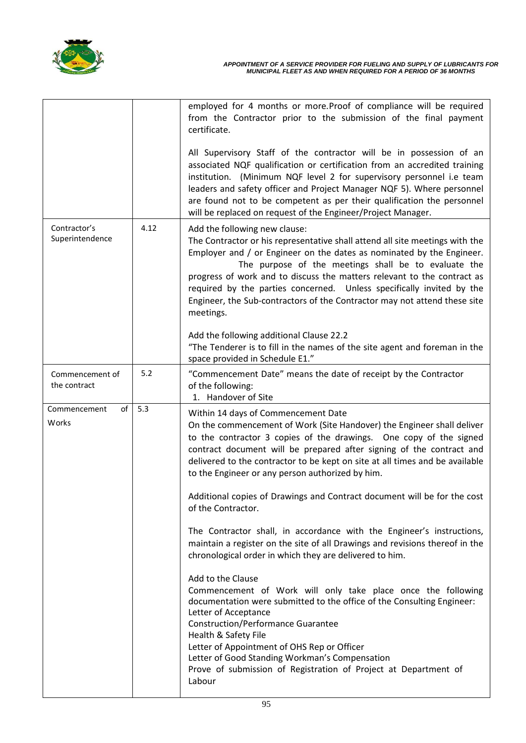

|                                 |      | employed for 4 months or more. Proof of compliance will be required<br>from the Contractor prior to the submission of the final payment<br>certificate.                                                                                                                                                                                                                                                                                                                                                                                                                                                                                                                                                                                                                                                                                                                                                                                                                                                                                                                                                                                                         |
|---------------------------------|------|-----------------------------------------------------------------------------------------------------------------------------------------------------------------------------------------------------------------------------------------------------------------------------------------------------------------------------------------------------------------------------------------------------------------------------------------------------------------------------------------------------------------------------------------------------------------------------------------------------------------------------------------------------------------------------------------------------------------------------------------------------------------------------------------------------------------------------------------------------------------------------------------------------------------------------------------------------------------------------------------------------------------------------------------------------------------------------------------------------------------------------------------------------------------|
|                                 |      | All Supervisory Staff of the contractor will be in possession of an<br>associated NQF qualification or certification from an accredited training<br>institution. (Minimum NQF level 2 for supervisory personnel i.e team<br>leaders and safety officer and Project Manager NQF 5). Where personnel<br>are found not to be competent as per their qualification the personnel<br>will be replaced on request of the Engineer/Project Manager.                                                                                                                                                                                                                                                                                                                                                                                                                                                                                                                                                                                                                                                                                                                    |
| Contractor's<br>Superintendence | 4.12 | Add the following new clause:<br>The Contractor or his representative shall attend all site meetings with the<br>Employer and / or Engineer on the dates as nominated by the Engineer.<br>The purpose of the meetings shall be to evaluate the<br>progress of work and to discuss the matters relevant to the contract as<br>required by the parties concerned. Unless specifically invited by the<br>Engineer, the Sub-contractors of the Contractor may not attend these site<br>meetings.<br>Add the following additional Clause 22.2<br>"The Tenderer is to fill in the names of the site agent and foreman in the                                                                                                                                                                                                                                                                                                                                                                                                                                                                                                                                          |
|                                 |      | space provided in Schedule E1."                                                                                                                                                                                                                                                                                                                                                                                                                                                                                                                                                                                                                                                                                                                                                                                                                                                                                                                                                                                                                                                                                                                                 |
| Commencement of<br>the contract | 5.2  | "Commencement Date" means the date of receipt by the Contractor<br>of the following:<br>1. Handover of Site                                                                                                                                                                                                                                                                                                                                                                                                                                                                                                                                                                                                                                                                                                                                                                                                                                                                                                                                                                                                                                                     |
| Commencement<br>of<br>Works     | 5.3  | Within 14 days of Commencement Date<br>On the commencement of Work (Site Handover) the Engineer shall deliver<br>to the contractor 3 copies of the drawings. One copy of the signed<br>contract document will be prepared after signing of the contract and<br>delivered to the contractor to be kept on site at all times and be available<br>to the Engineer or any person authorized by him.<br>Additional copies of Drawings and Contract document will be for the cost<br>of the Contractor.<br>The Contractor shall, in accordance with the Engineer's instructions,<br>maintain a register on the site of all Drawings and revisions thereof in the<br>chronological order in which they are delivered to him.<br>Add to the Clause<br>Commencement of Work will only take place once the following<br>documentation were submitted to the office of the Consulting Engineer:<br>Letter of Acceptance<br><b>Construction/Performance Guarantee</b><br>Health & Safety File<br>Letter of Appointment of OHS Rep or Officer<br>Letter of Good Standing Workman's Compensation<br>Prove of submission of Registration of Project at Department of<br>Labour |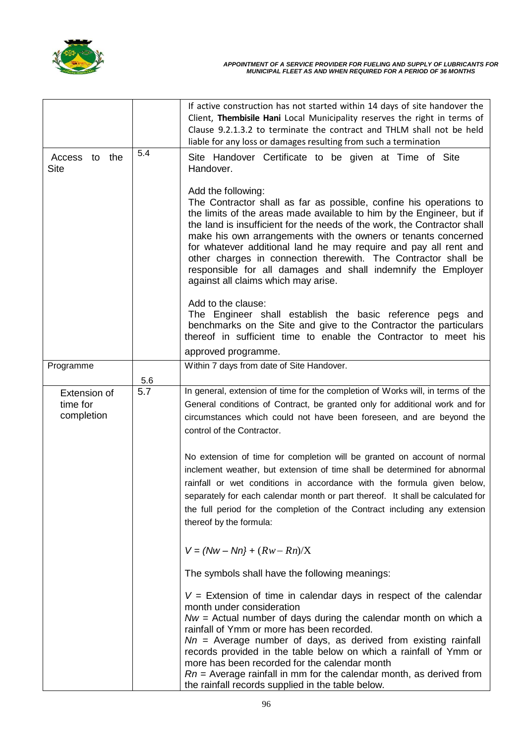

|                                        |     | If active construction has not started within 14 days of site handover the                                                                                                                                                                                                                                                                                                                                                                                                                                                                                   |
|----------------------------------------|-----|--------------------------------------------------------------------------------------------------------------------------------------------------------------------------------------------------------------------------------------------------------------------------------------------------------------------------------------------------------------------------------------------------------------------------------------------------------------------------------------------------------------------------------------------------------------|
|                                        |     | Client, Thembisile Hani Local Municipality reserves the right in terms of<br>Clause 9.2.1.3.2 to terminate the contract and THLM shall not be held                                                                                                                                                                                                                                                                                                                                                                                                           |
|                                        |     | liable for any loss or damages resulting from such a termination                                                                                                                                                                                                                                                                                                                                                                                                                                                                                             |
| Access to the<br>Site                  | 5.4 | Site Handover Certificate to be given at Time of Site<br>Handover.                                                                                                                                                                                                                                                                                                                                                                                                                                                                                           |
|                                        |     | Add the following:<br>The Contractor shall as far as possible, confine his operations to<br>the limits of the areas made available to him by the Engineer, but if<br>the land is insufficient for the needs of the work, the Contractor shall<br>make his own arrangements with the owners or tenants concerned<br>for whatever additional land he may require and pay all rent and<br>other charges in connection therewith. The Contractor shall be<br>responsible for all damages and shall indemnify the Employer<br>against all claims which may arise. |
|                                        |     | Add to the clause:<br>The Engineer shall establish the basic reference pegs and<br>benchmarks on the Site and give to the Contractor the particulars<br>thereof in sufficient time to enable the Contractor to meet his                                                                                                                                                                                                                                                                                                                                      |
|                                        |     | approved programme.                                                                                                                                                                                                                                                                                                                                                                                                                                                                                                                                          |
| Programme                              |     | Within 7 days from date of Site Handover.                                                                                                                                                                                                                                                                                                                                                                                                                                                                                                                    |
|                                        | 5.6 |                                                                                                                                                                                                                                                                                                                                                                                                                                                                                                                                                              |
| Extension of<br>time for<br>completion | 5.7 | In general, extension of time for the completion of Works will, in terms of the<br>General conditions of Contract, be granted only for additional work and for<br>circumstances which could not have been foreseen, and are beyond the<br>control of the Contractor.                                                                                                                                                                                                                                                                                         |
|                                        |     | No extension of time for completion will be granted on account of normal<br>inclement weather, but extension of time shall be determined for abnormal<br>rainfall or wet conditions in accordance with the formula given below,<br>separately for each calendar month or part thereof. It shall be calculated for<br>the full period for the completion of the Contract including any extension<br>thereof by the formula:                                                                                                                                   |
|                                        |     | $V = (Nw - Nn) + (Rw - Rn)/X$                                                                                                                                                                                                                                                                                                                                                                                                                                                                                                                                |
|                                        |     | The symbols shall have the following meanings:                                                                                                                                                                                                                                                                                                                                                                                                                                                                                                               |
|                                        |     | $V =$ Extension of time in calendar days in respect of the calendar<br>month under consideration<br>$Nw =$ Actual number of days during the calendar month on which a<br>rainfall of Ymm or more has been recorded.<br>$Nn$ = Average number of days, as derived from existing rainfall<br>records provided in the table below on which a rainfall of Ymm or<br>more has been recorded for the calendar month<br>$Rn$ = Average rainfall in mm for the calendar month, as derived from<br>the rainfall records supplied in the table below.                  |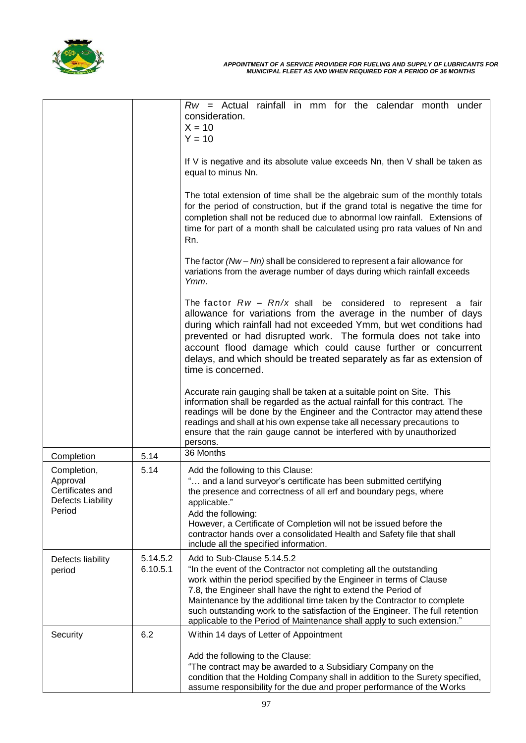

|                                                                                   |                      | $Rw =$ Actual rainfall in mm for the calendar month under<br>consideration.<br>$X = 10$<br>$Y = 10$                                                                                                                                                                                                                                                                                                                                                                             |
|-----------------------------------------------------------------------------------|----------------------|---------------------------------------------------------------------------------------------------------------------------------------------------------------------------------------------------------------------------------------------------------------------------------------------------------------------------------------------------------------------------------------------------------------------------------------------------------------------------------|
|                                                                                   |                      | If V is negative and its absolute value exceeds Nn, then V shall be taken as<br>equal to minus Nn.                                                                                                                                                                                                                                                                                                                                                                              |
|                                                                                   |                      | The total extension of time shall be the algebraic sum of the monthly totals<br>for the period of construction, but if the grand total is negative the time for<br>completion shall not be reduced due to abnormal low rainfall. Extensions of<br>time for part of a month shall be calculated using pro rata values of Nn and<br>Rn.                                                                                                                                           |
|                                                                                   |                      | The factor $(Nw - Nn)$ shall be considered to represent a fair allowance for<br>variations from the average number of days during which rainfall exceeds<br>Ymm.                                                                                                                                                                                                                                                                                                                |
|                                                                                   |                      | The factor $Rw - Rn/x$ shall be considered to represent a fair<br>allowance for variations from the average in the number of days<br>during which rainfall had not exceeded Ymm, but wet conditions had<br>prevented or had disrupted work. The formula does not take into<br>account flood damage which could cause further or concurrent<br>delays, and which should be treated separately as far as extension of<br>time is concerned.                                       |
|                                                                                   |                      | Accurate rain gauging shall be taken at a suitable point on Site. This<br>information shall be regarded as the actual rainfall for this contract. The<br>readings will be done by the Engineer and the Contractor may attend these<br>readings and shall at his own expense take all necessary precautions to<br>ensure that the rain gauge cannot be interfered with by unauthorized<br>persons.                                                                               |
| Completion                                                                        | 5.14                 | 36 Months                                                                                                                                                                                                                                                                                                                                                                                                                                                                       |
| Completion,<br>Approval<br>Certificates and<br><b>Defects Liability</b><br>Period | 5.14                 | Add the following to this Clause:<br>" and a land surveyor's certificate has been submitted certifying<br>the presence and correctness of all erf and boundary pegs, where<br>applicable."<br>Add the following:<br>However, a Certificate of Completion will not be issued before the<br>contractor hands over a consolidated Health and Safety file that shall<br>include all the specified information.                                                                      |
| Defects liability<br>period                                                       | 5.14.5.2<br>6.10.5.1 | Add to Sub-Clause 5.14.5.2<br>"In the event of the Contractor not completing all the outstanding<br>work within the period specified by the Engineer in terms of Clause<br>7.8, the Engineer shall have the right to extend the Period of<br>Maintenance by the additional time taken by the Contractor to complete<br>such outstanding work to the satisfaction of the Engineer. The full retention<br>applicable to the Period of Maintenance shall apply to such extension." |
| Security                                                                          | 6.2                  | Within 14 days of Letter of Appointment                                                                                                                                                                                                                                                                                                                                                                                                                                         |
|                                                                                   |                      | Add the following to the Clause:                                                                                                                                                                                                                                                                                                                                                                                                                                                |
|                                                                                   |                      | "The contract may be awarded to a Subsidiary Company on the<br>condition that the Holding Company shall in addition to the Surety specified,<br>assume responsibility for the due and proper performance of the Works                                                                                                                                                                                                                                                           |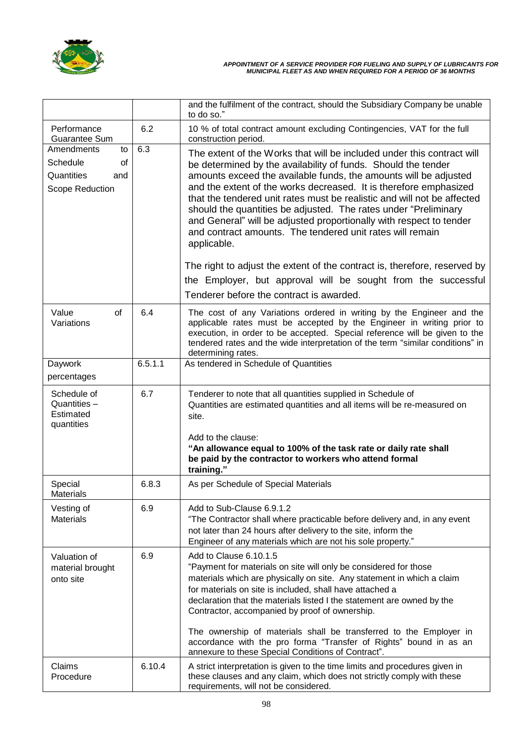

|                                                                            |         | and the fulfilment of the contract, should the Subsidiary Company be unable<br>to do so."                                                                                                                                                                                                                                                                                                                                                                                                                                                                                         |
|----------------------------------------------------------------------------|---------|-----------------------------------------------------------------------------------------------------------------------------------------------------------------------------------------------------------------------------------------------------------------------------------------------------------------------------------------------------------------------------------------------------------------------------------------------------------------------------------------------------------------------------------------------------------------------------------|
| Performance<br>Guarantee Sum                                               | 6.2     | 10 % of total contract amount excluding Contingencies, VAT for the full<br>construction period.                                                                                                                                                                                                                                                                                                                                                                                                                                                                                   |
| Amendments<br>to<br>Schedule<br>of<br>Quantities<br>and<br>Scope Reduction | 6.3     | The extent of the Works that will be included under this contract will<br>be determined by the availability of funds. Should the tender<br>amounts exceed the available funds, the amounts will be adjusted<br>and the extent of the works decreased. It is therefore emphasized<br>that the tendered unit rates must be realistic and will not be affected<br>should the quantities be adjusted. The rates under "Preliminary<br>and General" will be adjusted proportionally with respect to tender<br>and contract amounts. The tendered unit rates will remain<br>applicable. |
|                                                                            |         | The right to adjust the extent of the contract is, therefore, reserved by                                                                                                                                                                                                                                                                                                                                                                                                                                                                                                         |
|                                                                            |         | the Employer, but approval will be sought from the successful                                                                                                                                                                                                                                                                                                                                                                                                                                                                                                                     |
|                                                                            |         | Tenderer before the contract is awarded.                                                                                                                                                                                                                                                                                                                                                                                                                                                                                                                                          |
| of<br>Value<br>Variations                                                  | 6.4     | The cost of any Variations ordered in writing by the Engineer and the<br>applicable rates must be accepted by the Engineer in writing prior to<br>execution, in order to be accepted. Special reference will be given to the<br>tendered rates and the wide interpretation of the term "similar conditions" in<br>determining rates.                                                                                                                                                                                                                                              |
| Daywork                                                                    | 6.5.1.1 | As tendered in Schedule of Quantities                                                                                                                                                                                                                                                                                                                                                                                                                                                                                                                                             |
| percentages                                                                |         |                                                                                                                                                                                                                                                                                                                                                                                                                                                                                                                                                                                   |
| Schedule of<br>Quantities -<br>Estimated<br>quantities                     | 6.7     | Tenderer to note that all quantities supplied in Schedule of<br>Quantities are estimated quantities and all items will be re-measured on<br>site.<br>Add to the clause:<br>"An allowance equal to 100% of the task rate or daily rate shall<br>be paid by the contractor to workers who attend formal<br>training."                                                                                                                                                                                                                                                               |
| Special<br><b>Materials</b>                                                | 6.8.3   | As per Schedule of Special Materials                                                                                                                                                                                                                                                                                                                                                                                                                                                                                                                                              |
| Vesting of<br><b>Materials</b>                                             | 6.9     | Add to Sub-Clause 6.9.1.2<br>"The Contractor shall where practicable before delivery and, in any event<br>not later than 24 hours after delivery to the site, inform the<br>Engineer of any materials which are not his sole property."                                                                                                                                                                                                                                                                                                                                           |
| Valuation of<br>material brought<br>onto site                              | 6.9     | Add to Clause 6.10.1.5<br>"Payment for materials on site will only be considered for those<br>materials which are physically on site. Any statement in which a claim<br>for materials on site is included, shall have attached a<br>declaration that the materials listed I the statement are owned by the<br>Contractor, accompanied by proof of ownership.<br>The ownership of materials shall be transferred to the Employer in<br>accordance with the pro forma "Transfer of Rights" bound in as an                                                                           |
|                                                                            |         | annexure to these Special Conditions of Contract".                                                                                                                                                                                                                                                                                                                                                                                                                                                                                                                                |
| Claims<br>Procedure                                                        | 6.10.4  | A strict interpretation is given to the time limits and procedures given in<br>these clauses and any claim, which does not strictly comply with these<br>requirements, will not be considered.                                                                                                                                                                                                                                                                                                                                                                                    |